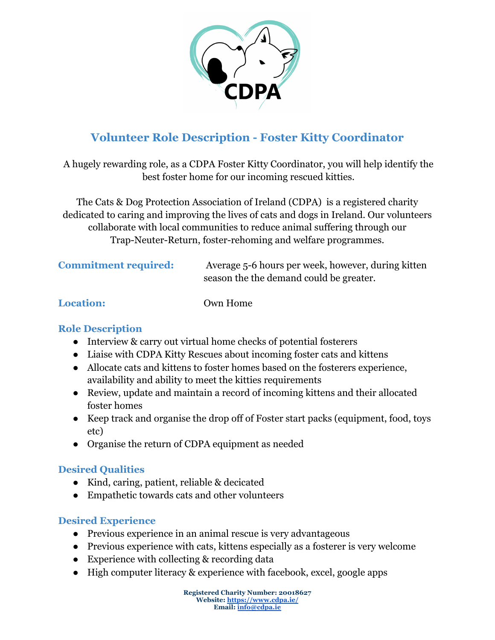

# **Volunteer Role Description - Foster Kitty Coordinator**

A hugely rewarding role, as a CDPA Foster Kitty Coordinator, you will help identify the best foster home for our incoming rescued kitties.

The Cats & Dog Protection Association of Ireland (CDPA) is a registered charity dedicated to caring and improving the lives of cats and dogs in Ireland. Our volunteers collaborate with local communities to reduce animal suffering through our Trap-Neuter-Return, foster-rehoming and welfare programmes.

**Commitment required:** Average 5-6 hours per week, however, during kitten season the the demand could be greater.

**Location:** Own Home

## **Role Description**

- Interview & carry out virtual home checks of potential fosterers
- Liaise with CDPA Kitty Rescues about incoming foster cats and kittens
- Allocate cats and kittens to foster homes based on the fosterers experience, availability and ability to meet the kitties requirements
- Review, update and maintain a record of incoming kittens and their allocated foster homes
- Keep track and organise the drop off of Foster start packs (equipment, food, toys etc)
- Organise the return of CDPA equipment as needed

## **Desired Qualities**

- Kind, caring, patient, reliable & decicated
- Empathetic towards cats and other volunteers

## **Desired Experience**

- Previous experience in an animal rescue is very advantageous
- Previous experience with cats, kittens especially as a fosterer is very welcome
- Experience with collecting & recording data
- High computer literacy & experience with facebook, excel, google apps